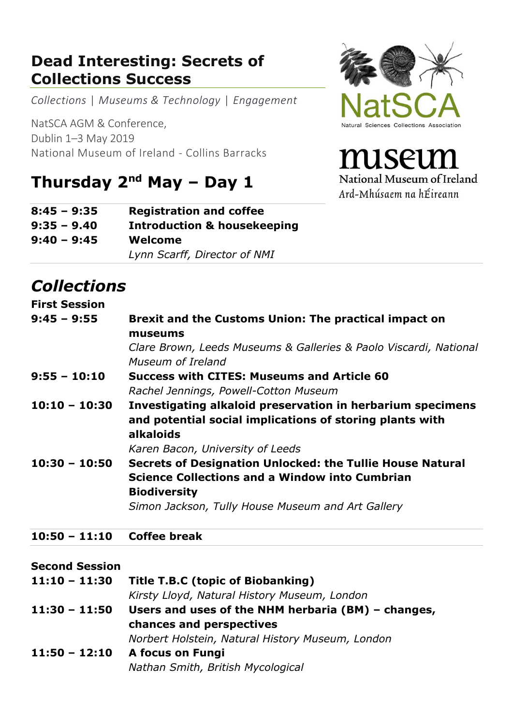### **Dead Interesting: Secrets of Collections Success**

*Collections* | *Museums & Technology* | *Engagement* 

NatSCA AGM & Conference, Dublin 1–3 May 2019 National Museum of Ireland - Collins Barracks

# **Thursday 2nd May – Day 1**

| $8:45 - 9:35$ | <b>Registration and coffee</b>         |
|---------------|----------------------------------------|
| $9:35 - 9.40$ | <b>Introduction &amp; housekeeping</b> |
| $9:40 - 9:45$ | Welcome                                |
|               | Lynn Scarff, Director of NMI           |

## *Collections*

#### **First Session 9:45 – 9:55 Brexit and the Customs Union: The practical impact on museums** *Clare Brown, Leeds Museums & Galleries & Paolo Viscardi, National Museum of Ireland* **9:55 – 10:10 Success with CITES: Museums and Article 60** *Rachel Jennings, Powell-Cotton Museum* **10:10 – 10:30 Investigating alkaloid preservation in herbarium specimens and potential social implications of storing plants with alkaloids** *Karen Bacon, University of Leeds* **10:30 – 10:50 Secrets of Designation Unlocked: the Tullie House Natural Science Collections and a Window into Cumbrian Biodiversity** *Simon Jackson, Tully House Museum and Art Gallery* **10:50 – 11:10 Coffee break Second Session**

| $11:10 - 11:30$ | Title T.B.C (topic of Biobanking)                    |
|-----------------|------------------------------------------------------|
|                 | Kirsty Lloyd, Natural History Museum, London         |
| $11:30 - 11:50$ | Users and uses of the NHM herbaria $(BM)$ – changes, |
|                 | chances and perspectives                             |
|                 | Norbert Holstein, Natural History Museum, London     |
| $11:50 - 12:10$ | A focus on Fungi                                     |
|                 | Nathan Smith, British Mycological                    |



miseun National Museum of Ireland Ard-Mhúsaem na hÉireann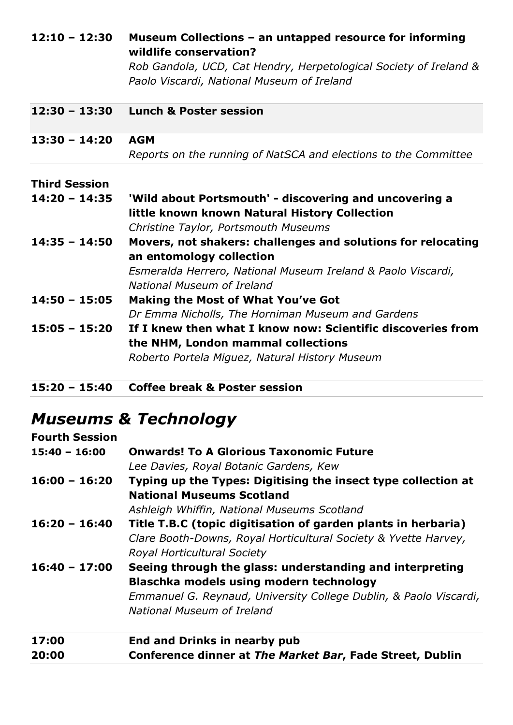| $12:10 - 12:30$      | Museum Collections - an untapped resource for informing<br>wildlife conservation? |
|----------------------|-----------------------------------------------------------------------------------|
|                      | Rob Gandola, UCD, Cat Hendry, Herpetological Society of Ireland &                 |
|                      | Paolo Viscardi, National Museum of Ireland                                        |
| $12:30 - 13:30$      | <b>Lunch &amp; Poster session</b>                                                 |
| $13:30 - 14:20$      | <b>AGM</b>                                                                        |
|                      | Reports on the running of NatSCA and elections to the Committee                   |
| <b>Third Session</b> |                                                                                   |
| $14:20 - 14:35$      | 'Wild about Portsmouth' - discovering and uncovering a                            |
|                      | little known known Natural History Collection                                     |
|                      | Christine Taylor, Portsmouth Museums                                              |
| $14:35 - 14:50$      | Movers, not shakers: challenges and solutions for relocating                      |
|                      | an entomology collection                                                          |
|                      | Esmeralda Herrero, National Museum Ireland & Paolo Viscardi,                      |
|                      | National Museum of Ireland                                                        |
| $14:50 - 15:05$      | <b>Making the Most of What You've Got</b>                                         |
|                      | Dr Emma Nicholls, The Horniman Museum and Gardens                                 |
| $15:05 - 15:20$      | If I knew then what I know now: Scientific discoveries from                       |
|                      | the NHM, London mammal collections                                                |
|                      | Roberto Portela Miguez, Natural History Museum                                    |
|                      |                                                                                   |

**15:20 – 15:40 Coffee break & Poster session**

# *Museums & Technology*

| <b>Fourth Session</b> |                                                                   |  |
|-----------------------|-------------------------------------------------------------------|--|
| $15:40 - 16:00$       | <b>Onwards! To A Glorious Taxonomic Future</b>                    |  |
|                       | Lee Davies, Royal Botanic Gardens, Kew                            |  |
| $16:00 - 16:20$       | Typing up the Types: Digitising the insect type collection at     |  |
|                       | <b>National Museums Scotland</b>                                  |  |
|                       | Ashleigh Whiffin, National Museums Scotland                       |  |
| $16:20 - 16:40$       | Title T.B.C (topic digitisation of garden plants in herbaria)     |  |
|                       | Clare Booth-Downs, Royal Horticultural Society & Yvette Harvey,   |  |
|                       | Royal Horticultural Society                                       |  |
| $16:40 - 17:00$       | Seeing through the glass: understanding and interpreting          |  |
|                       | Blaschka models using modern technology                           |  |
|                       | Emmanuel G. Reynaud, University College Dublin, & Paolo Viscardi, |  |
|                       | National Museum of Ireland                                        |  |
| 17:00                 | <b>End and Drinks in nearby pub</b>                               |  |
| 20:00                 | Conference dinner at The Market Bar, Fade Street, Dublin          |  |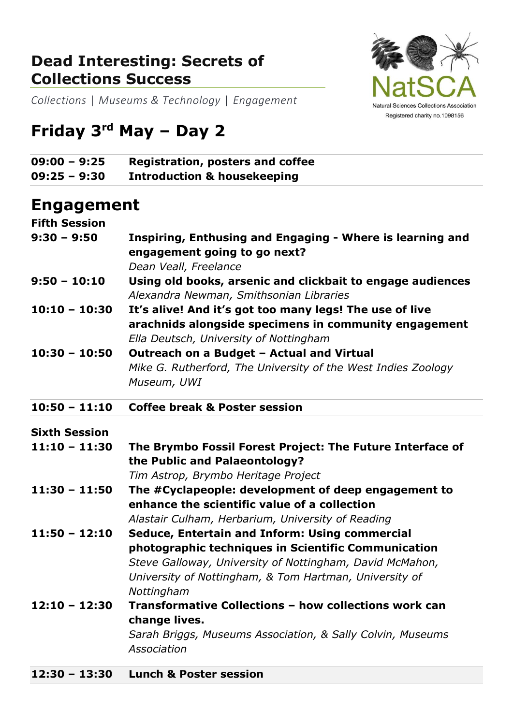#### **Dead Interesting: Secrets of Collections Success**



*Collections* | *Museums & Technology* | *Engagement* 

# **Friday 3 rd May – Day 2**

| $09:00 - 9:25$ | <b>Registration, posters and coffee</b> |
|----------------|-----------------------------------------|
| $09:25 - 9:30$ | <b>Introduction &amp; housekeeping</b>  |

#### **Engagement**

| <b>Fifth Session</b> |                                                                                                                                                                                                                                           |
|----------------------|-------------------------------------------------------------------------------------------------------------------------------------------------------------------------------------------------------------------------------------------|
| $9:30 - 9:50$        | Inspiring, Enthusing and Engaging - Where is learning and<br>engagement going to go next?<br>Dean Veall, Freelance                                                                                                                        |
| $9:50 - 10:10$       | Using old books, arsenic and clickbait to engage audiences<br>Alexandra Newman, Smithsonian Libraries                                                                                                                                     |
| $10:10 - 10:30$      | It's alive! And it's got too many legs! The use of live<br>arachnids alongside specimens in community engagement<br>Ella Deutsch, University of Nottingham                                                                                |
| $10:30 - 10:50$      | Outreach on a Budget - Actual and Virtual<br>Mike G. Rutherford, The University of the West Indies Zoology<br>Museum, UWI                                                                                                                 |
| $10:50 - 11:10$      | <b>Coffee break &amp; Poster session</b>                                                                                                                                                                                                  |
| <b>Sixth Session</b> |                                                                                                                                                                                                                                           |
| $11:10 - 11:30$      | The Brymbo Fossil Forest Project: The Future Interface of<br>the Public and Palaeontology?                                                                                                                                                |
| $11:30 - 11:50$      | Tim Astrop, Brymbo Heritage Project<br>The #Cyclapeople: development of deep engagement to<br>enhance the scientific value of a collection<br>Alastair Culham, Herbarium, University of Reading                                           |
| $11:50 - 12:10$      | Seduce, Entertain and Inform: Using commercial<br>photographic techniques in Scientific Communication<br>Steve Galloway, University of Nottingham, David McMahon,<br>University of Nottingham, & Tom Hartman, University of<br>Nottingham |
| $12:10 - 12:30$      | Transformative Collections - how collections work can<br>change lives.<br>Sarah Briggs, Museums Association, & Sally Colvin, Museums                                                                                                      |